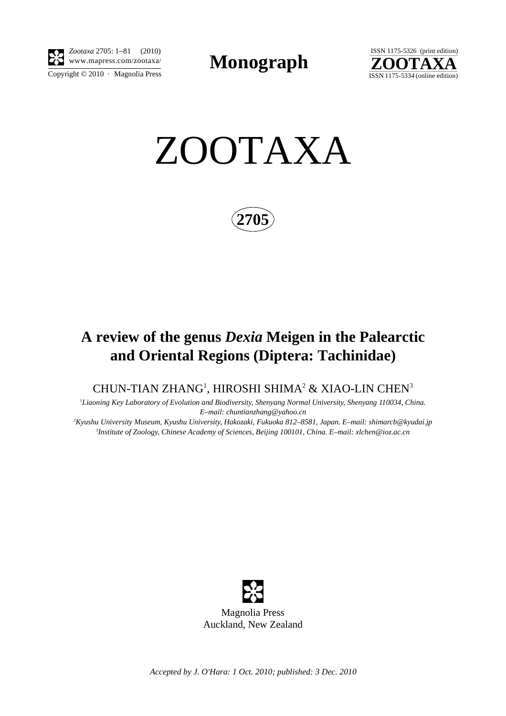

Copyright  $\odot$  2010 · Magnolia Press *Zootaxa* 2705: 1–81 (2010)

**Monograph** 



ZOOTAXA

**2705**

# **A review of the genus** *Dexia* **Meigen in the Palearctic and Oriental Regions (Diptera: Tachinidae)**

## CHUN-TIAN ZHANG<sup>1</sup>, HIROSHI SHIMA $^2$  & XIAO-LIN CHEN $^3$

*1 Liaoning Key Laboratory of Evolution and Biodiversity, Shenyang Normal University, Shenyang 110034, China. E–mail: chuntianzhang@yahoo.cn*

*2 Kyushu University Museum, Kyushu University, Hakozaki, Fukuoka 812–8581, Japan. E–mail: shimarcb@kyudai.jp 3 Institute of Zoology, Chinese Academy of Sciences, Beijing 100101, China. E–mail: xlchen@ioz.ac.cn*



*Accepted by J. O'Hara: 1 Oct. 2010; published: 3 Dec. 2010*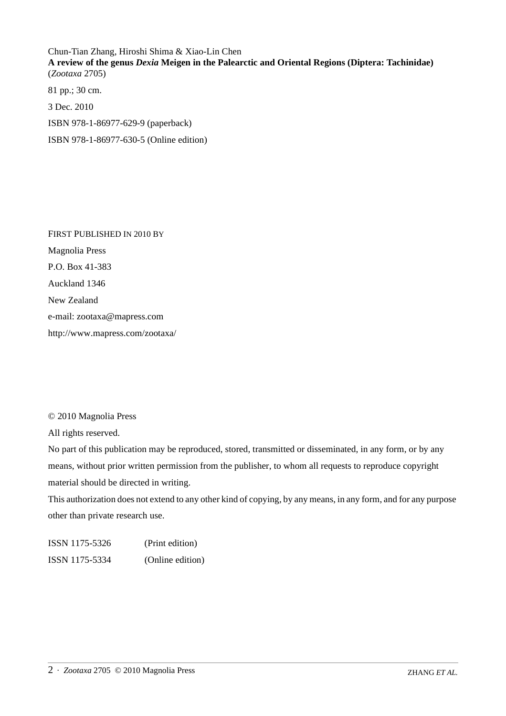Chun-Tian Zhang, Hiroshi Shima & Xiao-Lin Chen **A review of the genus** *Dexia* **Meigen in the Palearctic and Oriental Regions (Diptera: Tachinidae)** (*Zootaxa* 2705)

81 pp.; 30 cm. 3 Dec. 2010 ISBN 978-1-86977-629-9 (paperback) ISBN 978-1-86977-630-5 (Online edition)

FIRST PUBLISHED IN 2010 BY Magnolia Press P.O. Box 41-383 Auckland 1346 New Zealand e-mail: zootaxa@mapress.com http://www.mapress.com/zootaxa/

### © 2010 Magnolia Press

All rights reserved.

No part of this publication may be reproduced, stored, transmitted or disseminated, in any form, or by any means, without prior written permission from the publisher, to whom all requests to reproduce copyright material should be directed in writing.

This authorization does not extend to any other kind of copying, by any means, in any form, and for any purpose other than private research use.

ISSN 1175-5326 (Print edition) ISSN 1175-5334 (Online edition)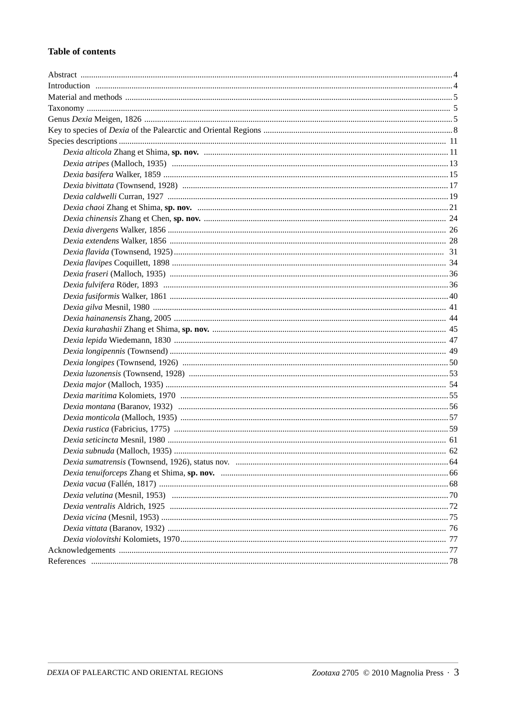#### **Table of contents**